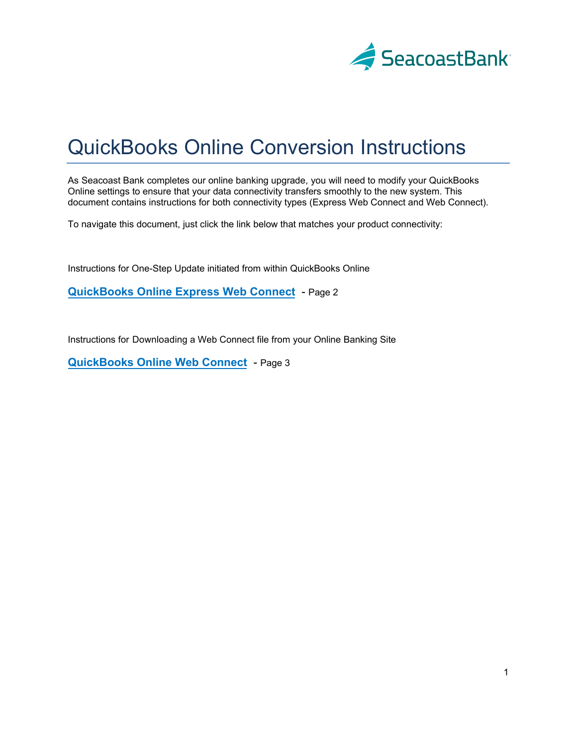

# QuickBooks Online Conversion Instructions

As Seacoast Bank completes our online banking upgrade, you will need to modify your QuickBooks Online settings to ensure that your data connectivity transfers smoothly to the new system. This document contains instructions for both connectivity types (Express Web Connect and Web Connect).

To navigate this document, just click the link below that matches your product connectivity:

Instructions for One-Step Update initiated from within QuickBooks Online

**QuickBooks Online Express Web Connect** - Page 2

Instructions for Downloading [a Web Connect file from y](#page-1-0)our Online Banking Site

**QuickBooks Online Web Connect** - Page 3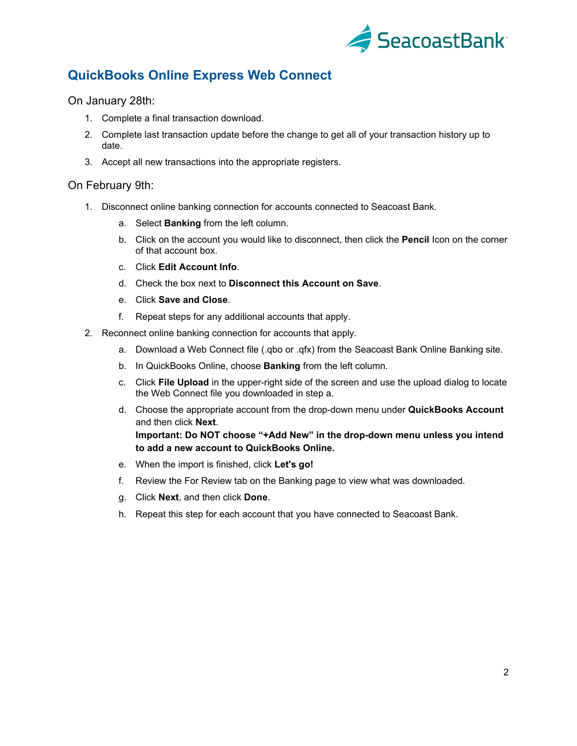

## <span id="page-1-0"></span>**QuickBooks Online Express Web Connect**

On January 28th:

- 1. Complete a final transaction download.
- 2. Complete last transaction update before the change to get all of your transaction history up to date.
- 3. Accept all new transactions into the appropriate registers.

### On February 9th:

- 1. Disconnect online banking connection for accounts connected to Seacoast Bank.
	- a. Select **Banking** from the left column.
	- b. Click on the account you would like to disconnect, then click the **Pencil** Icon on the corner of that account box.
	- c. Click **Edit Account Info**.
	- d. Check the box next to **Disconnect this Account on Save**.
	- e. Click **Save and Close**.
	- f. Repeat steps for any additional accounts that apply.
- 2. Reconnect online banking connection for accounts that apply.
	- a. Download a Web Connect file (.qbo or .qfx) from the Seacoast Bank Online Banking site.
	- b. In QuickBooks Online, choose **Banking** from the left column.
	- c. Click **File Upload** in the upper-right side of the screen and use the upload dialog to locate the Web Connect file you downloaded in step a.
	- d. Choose the appropriate account from the drop-down menu under **QuickBooks Account** and then click **Next**.

**Important: Do NOT choose "+Add New" in the drop-down menu unless you intend to add a new account to QuickBooks Online.**

- e. When the import is finished, click **Let's go!**
- f. Review the For Review tab on the Banking page to view what was downloaded.
- g. Click **Next**, and then click **Done**.
- h. Repeat this step for each account that you have connected to Seacoast Bank.